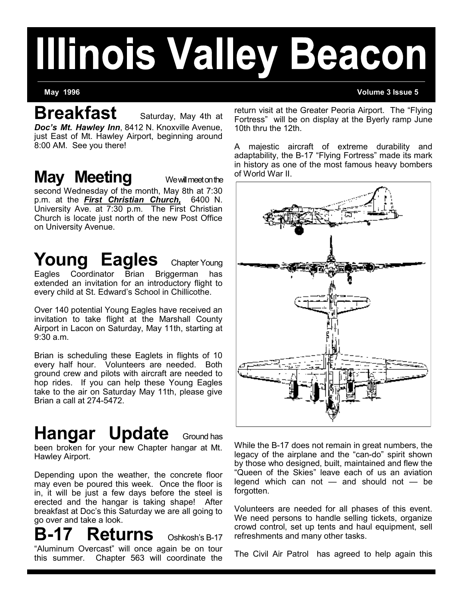# **Illinois Valley Beacon**

**May 1996 Volume 3 Issue 5**

**Breakfast** Saturday, May 4th at *Doc's Mt. Hawley Inn*, 8412 N. Knoxville Avenue,

just East of Mt. Hawley Airport, beginning around 8:00 AM. See you there!

### **May Meeting** We will meet on the

second Wednesday of the month, May 8th at 7:30 p.m. at the *First Christian Church,* 6400 N. University Ave. at 7:30 p.m. The First Christian Church is locate just north of the new Post Office on University Avenue.

# **Young Eagles** Chapter Young

Eagles Coordinator Brian Briggerman extended an invitation for an introductory flight to every child at St. Edward's School in Chillicothe.

Over 140 potential Young Eagles have received an invitation to take flight at the Marshall County Airport in Lacon on Saturday, May 11th, starting at 9:30 a.m.

Brian is scheduling these Eaglets in flights of 10 every half hour. Volunteers are needed. Both ground crew and pilots with aircraft are needed to hop rides. If you can help these Young Eagles take to the air on Saturday May 11th, please give Brian a call at 274-5472.

# **Hangar Update** Ground has

been broken for your new Chapter hangar at Mt. Hawley Airport.

Depending upon the weather, the concrete floor may even be poured this week. Once the floor is in, it will be just a few days before the steel is erected and the hangar is taking shape! After breakfast at Doc's this Saturday we are all going to go over and take a look.

**B-17 Returns** Oshkosh's B-<sup>17</sup> "Aluminum Overcast" will once again be on tour this summer. Chapter 563 will coordinate the return visit at the Greater Peoria Airport. The "Flying Fortress" will be on display at the Byerly ramp June 10th thru the 12th.

A majestic aircraft of extreme durability and adaptability, the B-17 "Flying Fortress" made its mark in history as one of the most famous heavy bombers of World War II.



While the B-17 does not remain in great numbers, the legacy of the airplane and the "can-do" spirit shown by those who designed, built, maintained and flew the "Queen of the Skies" leave each of us an aviation legend which can not  $-$  and should not  $-$  be forgotten.

Volunteers are needed for all phases of this event. We need persons to handle selling tickets, organize crowd control, set up tents and haul equipment, sell refreshments and many other tasks.

The Civil Air Patrol has agreed to help again this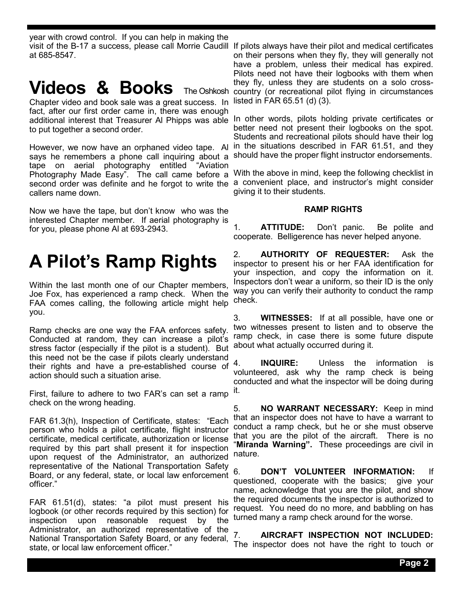year with crowd control. If you can help in making the at 685-8547.

### **Videos & Books** The Oshkosh

Chapter video and book sale was a great success. In fact, after our first order came in, there was enough additional interest that Treasurer Al Phipps was able to put together a second order.

However, we now have an orphaned video tape. Al says he remembers a phone call inquiring about a tape on aerial photography entitled "Aviation Photography Made Easy". The call came before a callers name down.

Now we have the tape, but don't know who was the interested Chapter member. If aerial photography is for you, please phone Al at 693-2943.

# **A Pilot's Ramp Rights**

Within the last month one of our Chapter members, Joe Fox, has experienced a ramp check. When the FAA comes calling, the following article might help you.

Ramp checks are one way the FAA enforces safety. Conducted at random, they can increase a pilot's stress factor (especially if the pilot is a student). But this need not be the case if pilots clearly understand their rights and have a pre-established course of action should such a situation arise.

First, failure to adhere to two FAR's can set a ramp check on the wrong heading.

FAR 61.3(h), Inspection of Certificate, states: "Each person who holds a pilot certificate, flight instructor certificate, medical certificate, authorization or license required by this part shall present it for inspection upon request of the Administrator, an authorized representative of the National Transportation Safety Board, or any federal, state, or local law enforcement officer."

FAR 61.51(d), states: "a pilot must present his logbook (or other records required by this section) for inspection upon reasonable request by the Administrator, an authorized representative of the National Transportation Safety Board, or any federal, state, or local law enforcement officer."

visit of the B-17 a success, please call Morrie Caudill If pilots always have their pilot and medical certificates on their persons when they fly, they will generally not have a problem, unless their medical has expired. Pilots need not have their logbooks with them when they fly, unless they are students on a solo crosscountry (or recreational pilot flying in circumstances listed in FAR 65.51 (d) (3).

> In other words, pilots holding private certificates or better need not present their logbooks on the spot. Students and recreational pilots should have their log in the situations described in FAR 61.51, and they should have the proper flight instructor endorsements.

second order was definite and he forgot to write the a convenient place, and instructor's might consider With the above in mind, keep the following checklist in giving it to their students.

#### **RAMP RIGHTS**

1. **ATTITUDE:** Don't panic. Be polite and cooperate. Belligerence has never helped anyone.

2. **AUTHORITY OF REQUESTER:** Ask the inspector to present his or her FAA identification for your inspection, and copy the information on it. Inspectors don't wear a uniform, so their ID is the only way you can verify their authority to conduct the ramp check.

3. **WITNESSES:** If at all possible, have one or two witnesses present to listen and to observe the ramp check, in case there is some future dispute about what actually occurred during it.

4. **INQUIRE:** Unless the information is volunteered, ask why the ramp check is being conducted and what the inspector will be doing during it.

5. **NO WARRANT NECESSARY:** Keep in mind that an inspector does not have to have a warrant to conduct a ramp check, but he or she must observe that you are the pilot of the aircraft. There is no "**Miranda Warning".** These proceedings are civil in nature.

6. **DON'T VOLUNTEER INFORMATION:** If questioned, cooperate with the basics; give your name, acknowledge that you are the pilot, and show the required documents the inspector is authorized to request. You need do no more, and babbling on has turned many a ramp check around for the worse.

7. **AIRCRAFT INSPECTION NOT INCLUDED:** The inspector does not have the right to touch or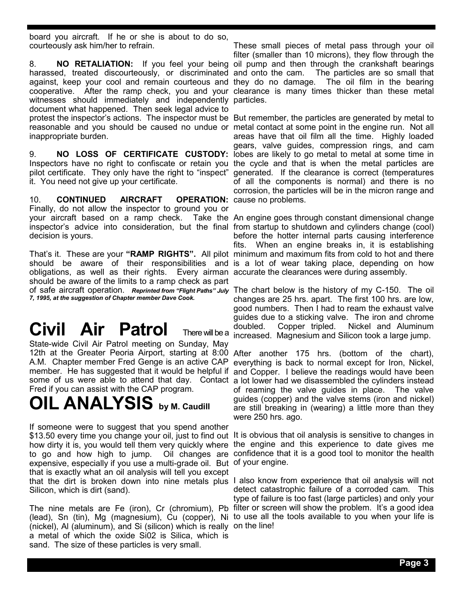board you aircraft. If he or she is about to do so, courteously ask him/her to refrain.

harassed, treated discourteously, or discriminated and onto the cam. against, keep your cool and remain courteous and witnesses should immediately and independently particles. document what happened. Then seek legal advice to inappropriate burden.

it. You need not give up your certificate.

10. **CONTINUED AIRCRAFT OPERATION:** cause no problems. Finally, do not allow the inspector to ground you or your aircraft based on a ramp check. Take the An engine goes through constant dimensional change inspector's advice into consideration, but the final from startup to shutdown and cylinders change (cool) decision is yours.

That's it. These are your **"RAMP RIGHTS".** All pilot minimum and maximum fits from cold to hot and there should be aware of their responsibilities and is a lot of wear taking place, depending on how obligations, as well as their rights. Every airman accurate the clearances were during assembly. should be aware of the limits to a ramp check as part of safe aircraft operation. *Reprinted from "Flight Paths" July*  The chart below is the history of my C-150. The oil *7, 1995, at the suggestion of Chapter member Dave Cook.*

# **Civil Air Patrol** There will be a

State-wide Civil Air Patrol meeting on Sunday, May 12th at the Greater Peoria Airport, starting at 8:00 After another 175 hrs. (bottom of the chart), A.M. Chapter member Fred Genge is an active CAP everything is back to normal except for Iron, Nickel, member. He has suggested that it would be helpful if and Copper. I believe the readings would have been some of us were able to attend that day. Contact a lot lower had we disassembled the cylinders instead Fred if you can assist with the CAP program.

# **OIL ANALYSIS by M. Caudill**

If someone were to suggest that you spend another \$13.50 every time you change your oil, just to find out It is obvious that oil analysis is sensitive to changes in how dirty it is, you would tell them very quickly where the engine and this experience to date gives me to go and how high to jump. Oil changes are confidence that it is a good tool to monitor the health expensive, especially if you use a multi-grade oil. But of your engine. that is exactly what an oil analysis will tell you except that the dirt is broken down into nine metals plus I also know from experience that oil analysis will not Silicon, which is dirt (sand).

The nine metals are Fe (iron), Cr (chromium), Pb filter or screen will show the problem. It's a good idea (lead), Sn (tin), Mg (magnesium), Cu (copper), Ni to use all the tools available to you when your life is (nickel), Al (aluminum), and Si (silicon) which is really on the line!a metal of which the oxide Si02 is Silica, which is sand. The size of these particles is very small.

8. **NO RETALIATION:** If you feel your being oil pump and then through the crankshaft bearings cooperative. After the ramp check, you and your clearance is many times thicker than these metal These small pieces of metal pass through your oil filter (smaller than 10 microns), they flow through the The particles are so small that The oil film in the bearing.

protest the inspector's actions. The inspector must be But remember, the particles are generated by metal to reasonable and you should be caused no undue or metal contact at some point in the engine run. Not all 9. **NO LOSS OF CERTIFICATE CUSTODY:** lobes are likely to go metal to metal at some time in Inspectors have no right to confiscate or retain you the cycle and that is when the metal particles are pilot certificate. They only have the right to "inspect" generated. If the clearance is correct (temperatures areas have that oil film all the time. Highly loaded gears, valve guides, compression rings, and cam of all the components is normal) and there is no corrosion, the particles will be in the micron range and

> before the hotter internal parts causing interference fits. When an engine breaks in, it is establishing

> changes are 25 hrs. apart. The first 100 hrs. are low, good numbers. Then I had to ream the exhaust valve guides due to a sticking valve. The iron and chrome doubled. Copper tripled. Nickel and Aluminum increased. Magnesium and Silicon took a large jump.

> of reaming the valve guides in place. The valve guides (copper) and the valve stems (iron and nickel) are still breaking in (wearing) a little more than they were 250 hrs. ago.

detect catastrophic failure of a corroded cam. This type of failure is too fast (large particles) and only your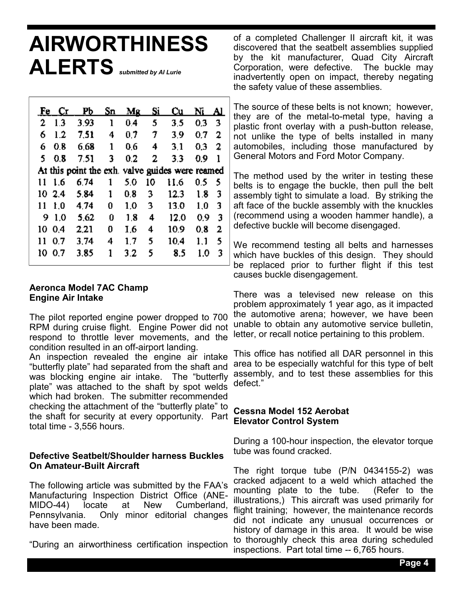# **AIRWORTHINESS ALERTS** *submitted by Al Lurie*

|                                                 | Fe Cr  | Рb   | Sn | Mg  | Si | Cu   | Ni  | AI. |
|-------------------------------------------------|--------|------|----|-----|----|------|-----|-----|
| 2                                               | 1.3    | 3.93 | ı  | 0.4 | 5  | 3.5  | 0.3 | -3  |
| 6                                               | 1.2    | 7.51 | 4  | 0.7 | 7  | 3.9  | 0.7 | 2   |
| 6                                               | 0.8    | 6.68 | 1  | 0.6 | 4  | 3.1  | 0.3 | 2   |
| S.                                              | 0.8    | 7.51 | 3  | 0.2 | 2  | 3.3  | 0.9 | 1   |
| At this point the exh. valve guides were reamed |        |      |    |     |    |      |     |     |
| 11                                              | 1.6    | 6.74 | 1  | 5.0 | 10 | 11.6 | 0.5 | 5   |
|                                                 | 102.4  | 5.84 | 1  | 0.8 | 3  | 12.3 | 1.8 | 3   |
| 11                                              | 1.0    | 4.74 | 0  | 1.0 | 3  | 13.0 | 1.0 | 3   |
|                                                 | 9 1.0  | 5.62 | 0  | 1.8 | 4  | 12.0 | 0.9 | 3   |
|                                                 | 10 0.4 | 2.21 | 0  | 1.6 | 4  | 10.9 | 0.8 | 2   |
| 11                                              | 0.7    | 3.74 | 4  | 1.7 | 5  | 10.4 | 1.1 | 5   |
| 10.                                             | 0.7    | 3.85 | 1  | 3.2 | 5  | 8.5  | 1.0 | 3   |

#### **Aeronca Model 7AC Champ Engine Air Intake**

The pilot reported engine power dropped to 700 RPM during cruise flight. Engine Power did not respond to throttle lever movements, and the condition resulted in an off-airport landing.

An inspection revealed the engine air intake "butterfly plate" had separated from the shaft and was blocking engine air intake. The "butterfly plate" was attached to the shaft by spot welds which had broken. The submitter recommended checking the attachment of the "butterfly plate" to the shaft for security at every opportunity. Part total time - 3,556 hours.

### **Defective Seatbelt/Shoulder harness Buckles On Amateur-Built Aircraft**

The following article was submitted by the FAA's Manufacturing Inspection District Office (ANE-MIDO-44) locate at New Cumberland, Pennsylvania. Only minor editorial changes have been made.

"During an airworthiness certification inspection

of a completed Challenger II aircraft kit, it was discovered that the seatbelt assemblies supplied by the kit manufacturer, Quad City Aircraft Corporation, were defective. The buckle may inadvertently open on impact, thereby negating the safety value of these assemblies.

The source of these belts is not known; however, they are of the metal-to-metal type, having a plastic front overlay with a push-button release, not unlike the type of belts installed in many automobiles, including those manufactured by General Motors and Ford Motor Company.

The method used by the writer in testing these belts is to engage the buckle, then pull the belt assembly tight to simulate a load. By striking the aft face of the buckle assembly with the knuckles (recommend using a wooden hammer handle), a defective buckle will become disengaged.

We recommend testing all belts and harnesses which have buckles of this design. They should be replaced prior to further flight if this test causes buckle disengagement.

There was a televised new release on this problem approximately 1 year ago, as it impacted the automotive arena; however, we have been unable to obtain any automotive service bulletin, letter, or recall notice pertaining to this problem.

This office has notified all DAR personnel in this area to be especially watchful for this type of belt assembly, and to test these assemblies for this defect."

### **Cessna Model 152 Aerobat Elevator Control System**

During a 100-hour inspection, the elevator torque tube was found cracked.

The right torque tube (P/N 0434155-2) was cracked adjacent to a weld which attached the mounting plate to the tube. (Refer to the illustrations,) This aircraft was used primarily for flight training; however, the maintenance records did not indicate any unusual occurrences or history of damage in this area. It would be wise to thoroughly check this area during scheduled inspections. Part total time -- 6,765 hours.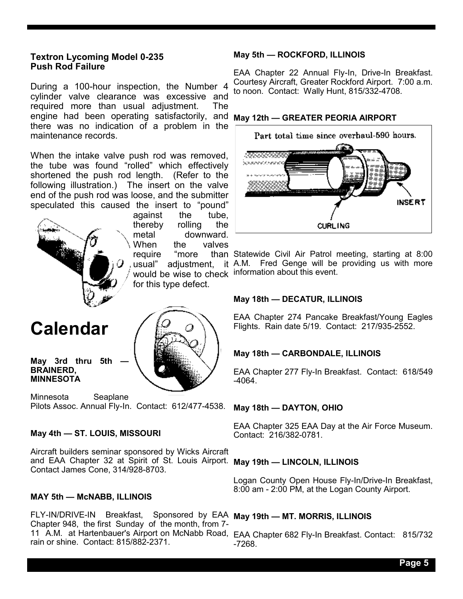### **Textron Lycoming Model 0-235 Push Rod Failure**

During a 100-hour inspection, the Number 4 cylinder valve clearance was excessive and required more than usual adjustment. The engine had been operating satisfactorily, and **May 12th — GREATER PEORIA AIRPORT** there was no indication of a problem in the maintenance records.

When the intake valve push rod was removed, the tube was found "rolled" which effectively shortened the push rod length. (Refer to the following illustration.) The insert on the valve end of the push rod was loose, and the submitter speculated this caused the insert to "pound"



against the tube, thereby rolling the metal downward. When the valves require "more would be wise to check information about this event. for this type defect.

### **Calendar**

#### May 3rd thru 5th **BRAINERD, MINNESOTA**

Minnesota Seaplane Pilots Assoc. Annual Fly-In. Contact: 612/477-4538.

### **May 4th — ST. LOUIS, MISSOURI**

Aircraft builders seminar sponsored by Wicks Aircraft and EAA Chapter 32 at Spirit of St. Louis Airport. **May 19th — LINCOLN, ILLINOIS** Contact James Cone, 314/928-8703.

### **MAY 5th — McNABB, ILLINOIS**

FLY-IN/DRIVE-IN Breakfast, Sponsored by EAA **May 19th — MT. MORRIS, ILLINOIS** Chapter 948, the first Sunday of the month, from 7- 11 A.M. at Hartenbauer's Airport on McNabb Road, EAA Chapter 682 Fly-In Breakfast. Contact: 815/732 rain or shine. Contact: 815/882-2371.

#### **May 5th — ROCKFORD, ILLINOIS**

EAA Chapter 22 Annual Fly-In, Drive-In Breakfast. Courtesy Aircraft, Greater Rockford Airport. 7:00 a.m. to noon. Contact: Wally Hunt, 815/332-4708.



usual" adjustment, it A.M. Fred Genge will be providing us with more Statewide Civil Air Patrol meeting, starting at 8:00

#### **May 18th — DECATUR, ILLINOIS**

EAA Chapter 274 Pancake Breakfast/Young Eagles Flights. Rain date 5/19. Contact: 217/935-2552.

#### **May 18th — CARBONDALE, ILLINOIS**

EAA Chapter 277 Fly-In Breakfast. Contact: 618/549 -4064.

#### **May 18th — DAYTON, OHIO**

EAA Chapter 325 EAA Day at the Air Force Museum. Contact: 216/382-0781.

Logan County Open House Fly-In/Drive-In Breakfast, 8:00 am - 2:00 PM, at the Logan County Airport.

-7268.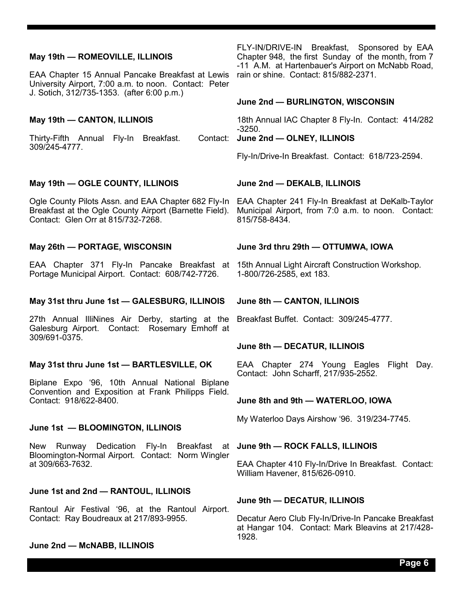#### **May 19th — ROMEOVILLE, ILLINOIS**

EAA Chapter 15 Annual Pancake Breakfast at Lewis University Airport, 7:00 a.m. to noon. Contact: Peter J. Sotich, 312/735-1353. (after 6:00 p.m.)

#### **May 19th — CANTON, ILLINOIS**

Thirty-Fifth Annual Fly-In Breakfast. 309/245-4777.

#### **May 19th — OGLE COUNTY, ILLINOIS**

Ogle County Pilots Assn. and EAA Chapter 682 Fly-In EAA Chapter 241 Fly-In Breakfast at DeKalb-Taylor Breakfast at the Ogle County Airport (Barnette Field). Contact: Glen Orr at 815/732-7268.

#### **May 26th — PORTAGE, WISCONSIN**

EAA Chapter 371 Fly-In Pancake Breakfast at 15th Annual Light Aircraft Construction Workshop. Portage Municipal Airport. Contact: 608/742-7726.

#### **May 31st thru June 1st — GALESBURG, ILLINOIS**

27th Annual IlliNines Air Derby, starting at the Breakfast Buffet. Contact: 309/245-4777. Galesburg Airport. Contact: Rosemary Emhoff at 309/691-0375.

#### **May 31st thru June 1st — BARTLESVILLE, OK**

Biplane Expo '96, 10th Annual National Biplane Convention and Exposition at Frank Philipps Field. Contact: 918/622-8400.

#### **June 1st — BLOOMINGTON, ILLINOIS**

New Runway Dedication Fly-In Breakfast at **June 9th — ROCK FALLS, ILLINOIS** Bloomington-Normal Airport. Contact: Norm Wingler at 309/663-7632.

#### **June 1st and 2nd — RANTOUL, ILLINOIS**

Rantoul Air Festival '96, at the Rantoul Airport. Contact: Ray Boudreaux at 217/893-9955.

#### **June 2nd — McNABB, ILLINOIS**

FLY-IN/DRIVE-IN Breakfast, Sponsored by EAA Chapter 948, the first Sunday of the month, from 7 -11 A.M. at Hartenbauer's Airport on McNabb Road, rain or shine. Contact: 815/882-2371.

#### **June 2nd — BURLINGTON, WISCONSIN**

18th Annual IAC Chapter 8 Fly-In. Contact: 414/282 -3250.

#### Contact: June 2nd - OLNEY, ILLINOIS

Fly-In/Drive-In Breakfast. Contact: 618/723-2594.

#### **June 2nd — DEKALB, ILLINOIS**

Municipal Airport, from 7:0 a.m. to noon. Contact: 815/758-8434.

#### **June 3rd thru 29th — OTTUMWA, IOWA**

1-800/726-2585, ext 183.

#### **June 8th — CANTON, ILLINOIS**

#### **June 8th — DECATUR, ILLINOIS**

EAA Chapter 274 Young Eagles Flight Day. Contact: John Scharff, 217/935-2552.

#### **June 8th and 9th — WATERLOO, IOWA**

My Waterloo Days Airshow '96. 319/234-7745.

EAA Chapter 410 Fly-In/Drive In Breakfast. Contact: William Havener, 815/626-0910.

#### **June 9th — DECATUR, ILLINOIS**

Decatur Aero Club Fly-In/Drive-In Pancake Breakfast at Hangar 104. Contact: Mark Bleavins at 217/428- 1928.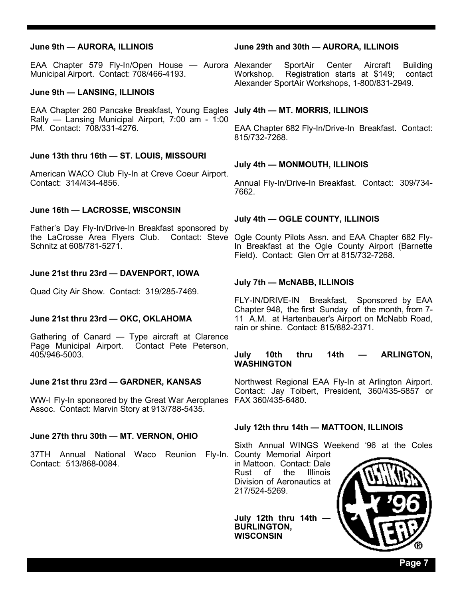#### **June 9th — AURORA, ILLINOIS**

Municipal Airport. Contact: 708/466-4193.

#### **June 9th — LANSING, ILLINOIS**

EAA Chapter 260 Pancake Breakfast, Young Eagles **July 4th — MT. MORRIS, ILLINOIS** Rally — Lansing Municipal Airport, 7:00 am - 1:00 PM. Contact: 708/331-4276.

#### **June 13th thru 16th — ST. LOUIS, MISSOURI**

American WACO Club Fly-In at Creve Coeur Airport. Contact: 314/434-4856.

#### **June 16th — LACROSSE, WISCONSIN**

Father's Day Fly-In/Drive-In Breakfast sponsored by the LaCrosse Area Flyers Club. Contact: Steve Ogle County Pilots Assn. and EAA Chapter 682 Fly-Schnitz at 608/781-5271.

#### **June 21st thru 23rd — DAVENPORT, IOWA**

Quad City Air Show. Contact: 319/285-7469.

#### **June 21st thru 23rd — OKC, OKLAHOMA**

Gathering of Canard — Type aircraft at Clarence Page Municipal Airport. Contact Pete Peterson, 405/946-5003.

#### **June 21st thru 23rd — GARDNER, KANSAS**

WW-I Fly-In sponsored by the Great War Aeroplanes FAX 360/435-6480. Assoc. Contact: Marvin Story at 913/788-5435.

#### **June 27th thru 30th — MT. VERNON, OHIO**

37TH Annual National Waco Reunion Fly-In. County Memorial Airport Contact: 513/868-0084.

#### **June 29th and 30th — AURORA, ILLINOIS**

EAA Chapter 579 Fly-In/Open House — Aurora Alexander SportAir Center Aircraft Building Workshop. Registration starts at \$149; contact Alexander SportAir Workshops, 1-800/831-2949.

EAA Chapter 682 Fly-In/Drive-In Breakfast. Contact: 815/732-7268.

#### **July 4th — MONMOUTH, ILLINOIS**

Annual Fly-In/Drive-In Breakfast. Contact: 309/734- 7662.

#### **July 4th — OGLE COUNTY, ILLINOIS**

In Breakfast at the Ogle County Airport (Barnette Field). Contact: Glen Orr at 815/732-7268.

#### **July 7th — McNABB, ILLINOIS**

FLY-IN/DRIVE-IN Breakfast, Sponsored by EAA Chapter 948, the first Sunday of the month, from 7- 11 A.M. at Hartenbauer's Airport on McNabb Road, rain or shine. Contact: 815/882-2371.

#### **July 10th thru 14th — ARLINGTON, WASHINGTON**

Northwest Regional EAA Fly-In at Arlington Airport. Contact: Jay Tolbert, President, 360/435-5857 or

#### **July 12th thru 14th — MATTOON, ILLINOIS**

Sixth Annual WINGS Weekend '96 at the Coles

in Mattoon. Contact: Dale Rust of the Illinois Division of Aeronautics at 217/524-5269.

**July 12th thru 14th BURLINGTON, WISCONSIN**